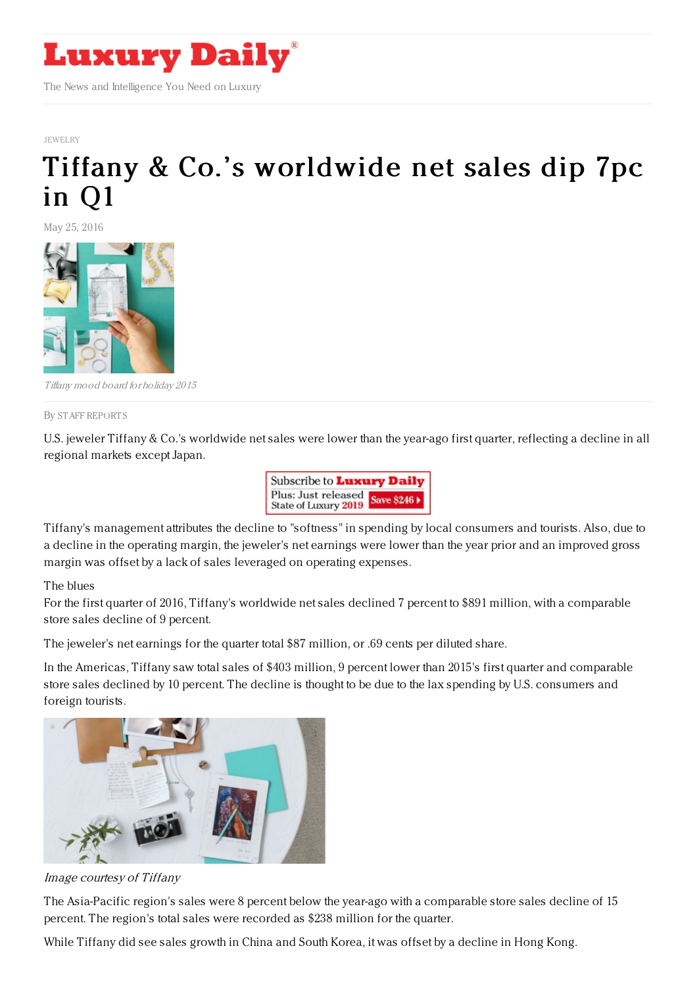

[JEWELRY](http://www.luxurydaily.com/category/sectors/jewelry/)

## Tiffany & Co.'s [worldwide](https://www.luxurydaily.com/tiffany-co-s-worldwide-net-sales-dip-7pc-in-q1/) net sales dip 7pc in Q1

May 25, 2016



Tiffany mood board for holiday 2015

By STAFF [REPORT](file:///author/staff-reports) S

U.S. jeweler Tiffany & Co.'s worldwide net sales were lower than the year-ago first quarter, reflecting a decline in all regional markets except Japan.



Tiffany's management attributes the decline to "softness" in spending by local consumers and tourists. Also, due to a decline in the operating margin, the jeweler's net earnings were lower than the year prior and an improved gross margin was offset by a lack of sales leveraged on operating expenses.

## The blues

For the first quarter of 2016, Tiffany's worldwide net sales declined 7 percent to \$891 million, with a comparable store sales decline of 9 percent.

The jeweler's net earnings for the quarter total \$87 million, or .69 cents per diluted share.

In the Americas, Tiffany saw total sales of \$403 million, 9 percent lower than 2015's first quarter and comparable store sales declined by 10 percent. The decline is thought to be due to the lax spending by U.S. consumers and foreign tourists.



Image courtesy of Tiffany

The Asia-Pacific region's sales were 8 percent below the year-ago with a comparable store sales decline of 15 percent. The region's total sales were recorded as \$238 million for the quarter.

While Tiffany did see sales growth in China and South Korea, it was offset by a decline in Hong Kong.